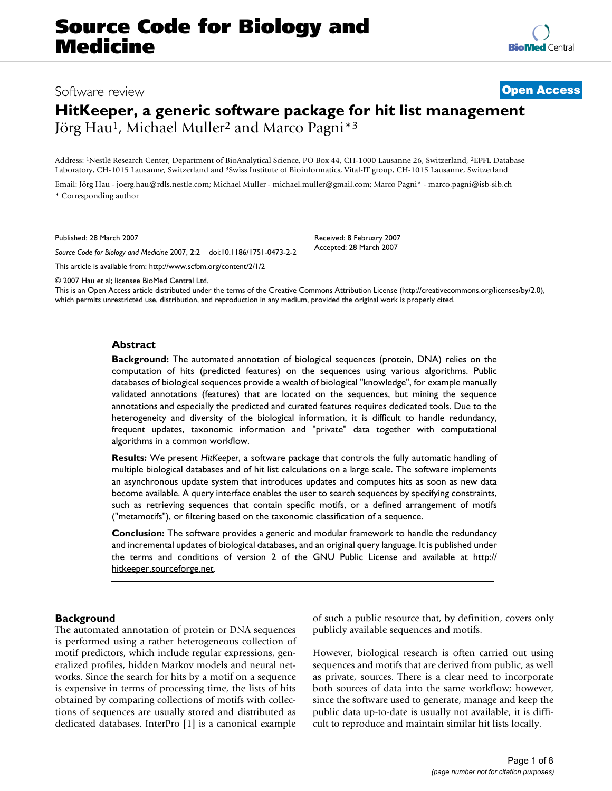# Software review **[Open Access](http://www.biomedcentral.com/info/about/charter/)**

# **HitKeeper, a generic software package for hit list management** Jörg Hau<sup>1</sup>, Michael Muller<sup>2</sup> and Marco Pagni<sup>\*3</sup>

Address: 1Nestlé Research Center, Department of BioAnalytical Science, PO Box 44, CH-1000 Lausanne 26, Switzerland, 2EPFL Database Laboratory, CH-1015 Lausanne, Switzerland and 3Swiss Institute of Bioinformatics, Vital-IT group, CH-1015 Lausanne, Switzerland

Email: Jörg Hau - joerg.hau@rdls.nestle.com; Michael Muller - michael.muller@gmail.com; Marco Pagni\* - marco.pagni@isb-sib.ch \* Corresponding author

Published: 28 March 2007

*Source Code for Biology and Medicine* 2007, **2**:2 doi:10.1186/1751-0473-2-2

[This article is available from: http://www.scfbm.org/content/2/1/2](http://www.scfbm.org/content/2/1/2)

© 2007 Hau et al; licensee BioMed Central Ltd.

This is an Open Access article distributed under the terms of the Creative Commons Attribution License [\(http://creativecommons.org/licenses/by/2.0\)](http://creativecommons.org/licenses/by/2.0), which permits unrestricted use, distribution, and reproduction in any medium, provided the original work is properly cited.

Received: 8 February 2007 Accepted: 28 March 2007

### **Abstract**

**Background:** The automated annotation of biological sequences (protein, DNA) relies on the computation of hits (predicted features) on the sequences using various algorithms. Public databases of biological sequences provide a wealth of biological "knowledge", for example manually validated annotations (features) that are located on the sequences, but mining the sequence annotations and especially the predicted and curated features requires dedicated tools. Due to the heterogeneity and diversity of the biological information, it is difficult to handle redundancy, frequent updates, taxonomic information and "private" data together with computational algorithms in a common workflow.

**Results:** We present *HitKeeper*, a software package that controls the fully automatic handling of multiple biological databases and of hit list calculations on a large scale. The software implements an asynchronous update system that introduces updates and computes hits as soon as new data become available. A query interface enables the user to search sequences by specifying constraints, such as retrieving sequences that contain specific motifs, or a defined arrangement of motifs ("metamotifs"), or filtering based on the taxonomic classification of a sequence.

**Conclusion:** The software provides a generic and modular framework to handle the redundancy and incremental updates of biological databases, and an original query language. It is published under the terms and conditions of version 2 of the GNU Public License and available at [http://](http://hitkeeper.sourceforge.net) [hitkeeper.sourceforge.net.](http://hitkeeper.sourceforge.net)

# **Background**

The automated annotation of protein or DNA sequences is performed using a rather heterogeneous collection of motif predictors, which include regular expressions, generalized profiles, hidden Markov models and neural networks. Since the search for hits by a motif on a sequence is expensive in terms of processing time, the lists of hits obtained by comparing collections of motifs with collections of sequences are usually stored and distributed as dedicated databases. InterPro [1] is a canonical example of such a public resource that, by definition, covers only publicly available sequences and motifs.

However, biological research is often carried out using sequences and motifs that are derived from public, as well as private, sources. There is a clear need to incorporate both sources of data into the same workflow; however, since the software used to generate, manage and keep the public data up-to-date is usually not available, it is difficult to reproduce and maintain similar hit lists locally.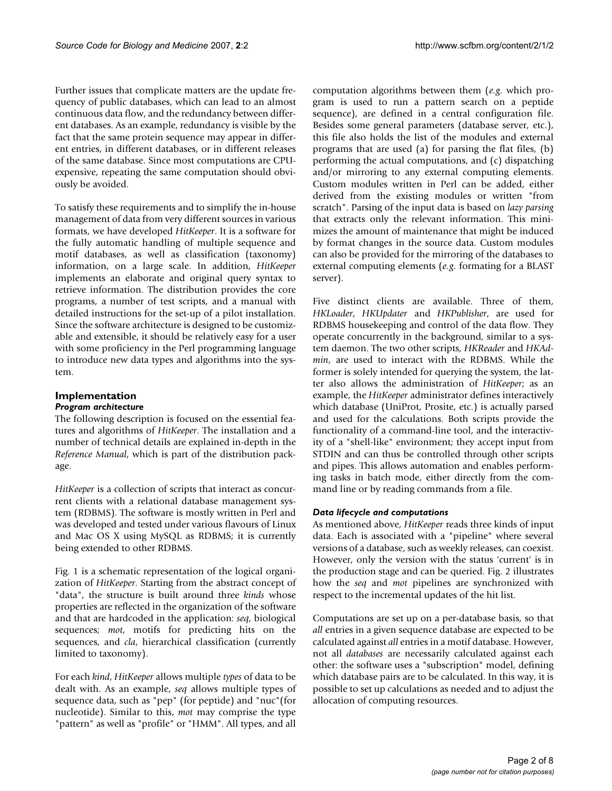Further issues that complicate matters are the update frequency of public databases, which can lead to an almost continuous data flow, and the redundancy between different databases. As an example, redundancy is visible by the fact that the same protein sequence may appear in different entries, in different databases, or in different releases of the same database. Since most computations are CPUexpensive, repeating the same computation should obviously be avoided.

To satisfy these requirements and to simplify the in-house management of data from very different sources in various formats, we have developed *HitKeeper*. It is a software for the fully automatic handling of multiple sequence and motif databases, as well as classification (taxonomy) information, on a large scale. In addition, *HitKeeper* implements an elaborate and original query syntax to retrieve information. The distribution provides the core programs, a number of test scripts, and a manual with detailed instructions for the set-up of a pilot installation. Since the software architecture is designed to be customizable and extensible, it should be relatively easy for a user with some proficiency in the Perl programming language to introduce new data types and algorithms into the system.

# **Implementation** *Program architecture*

The following description is focused on the essential features and algorithms of *HitKeeper*. The installation and a number of technical details are explained in-depth in the *Reference Manual*, which is part of the distribution package.

*HitKeeper* is a collection of scripts that interact as concurrent clients with a relational database management system (RDBMS). The software is mostly written in Perl and was developed and tested under various flavours of Linux and Mac OS X using MySQL as RDBMS; it is currently being extended to other RDBMS.

Fig. 1 is a schematic representation of the logical organization of *HitKeeper*. Starting from the abstract concept of "data", the structure is built around three *kinds* whose properties are reflected in the organization of the software and that are hardcoded in the application: *seq*, biological sequences; *mot*, motifs for predicting hits on the sequences, and *cla*, hierarchical classification (currently limited to taxonomy).

For each *kind*, *HitKeeper* allows multiple *types* of data to be dealt with. As an example, *seq* allows multiple types of sequence data, such as "pep" (for peptide) and "nuc"(for nucleotide). Similar to this, *mot* may comprise the type "pattern" as well as "profile" or "HMM". All types, and all

computation algorithms between them (*e.g*. which program is used to run a pattern search on a peptide sequence), are defined in a central configuration file. Besides some general parameters (database server, etc.), this file also holds the list of the modules and external programs that are used (a) for parsing the flat files, (b) performing the actual computations, and (c) dispatching and/or mirroring to any external computing elements. Custom modules written in Perl can be added, either derived from the existing modules or written "from scratch". Parsing of the input data is based on *lazy parsing* that extracts only the relevant information. This minimizes the amount of maintenance that might be induced by format changes in the source data. Custom modules can also be provided for the mirroring of the databases to external computing elements (*e.g*. formating for a BLAST server).

Five distinct clients are available. Three of them, *HKLoader*, *HKUpdater* and *HKPublisher*, are used for RDBMS housekeeping and control of the data flow. They operate concurrently in the background, similar to a system daemon. The two other scripts, *HKReader* and *HKAdmin*, are used to interact with the RDBMS. While the former is solely intended for querying the system, the latter also allows the administration of *HitKeeper*; as an example, the *HitKeeper* administrator defines interactively which database (UniProt, Prosite, etc.) is actually parsed and used for the calculations. Both scripts provide the functionality of a command-line tool, and the interactivity of a "shell-like" environment; they accept input from STDIN and can thus be controlled through other scripts and pipes. This allows automation and enables performing tasks in batch mode, either directly from the command line or by reading commands from a file.

# *Data lifecycle and computations*

As mentioned above, *HitKeeper* reads three kinds of input data. Each is associated with a "pipeline" where several versions of a database, such as weekly releases, can coexist. However, only the version with the status 'current' is in the production stage and can be queried. Fig. 2 illustrates how the *seq* and *mot* pipelines are synchronized with respect to the incremental updates of the hit list.

Computations are set up on a per-database basis, so that *all* entries in a given sequence database are expected to be calculated against *all* entries in a motif database. However, not all *databases* are necessarily calculated against each other: the software uses a "subscription" model, defining which database pairs are to be calculated. In this way, it is possible to set up calculations as needed and to adjust the allocation of computing resources.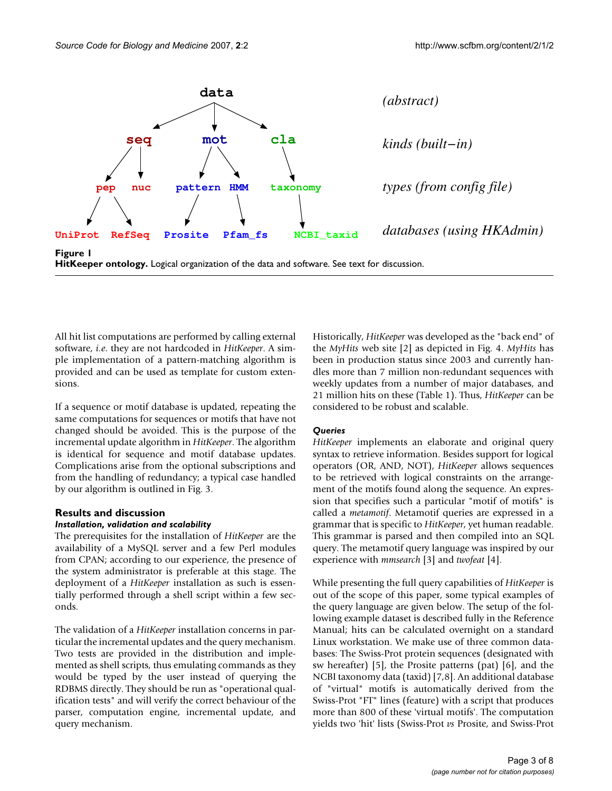

All hit list computations are performed by calling external software, *i.e*. they are not hardcoded in *HitKeeper*. A simple implementation of a pattern-matching algorithm is provided and can be used as template for custom extensions.

If a sequence or motif database is updated, repeating the same computations for sequences or motifs that have not changed should be avoided. This is the purpose of the incremental update algorithm in *HitKeeper*. The algorithm is identical for sequence and motif database updates. Complications arise from the optional subscriptions and from the handling of redundancy; a typical case handled by our algorithm is outlined in Fig. 3.

# **Results and discussion**

# *Installation, validation and scalability*

The prerequisites for the installation of *HitKeeper* are the availability of a MySQL server and a few Perl modules from CPAN; according to our experience, the presence of the system administrator is preferable at this stage. The deployment of a *HitKeeper* installation as such is essentially performed through a shell script within a few seconds.

The validation of a *HitKeeper* installation concerns in particular the incremental updates and the query mechanism. Two tests are provided in the distribution and implemented as shell scripts, thus emulating commands as they would be typed by the user instead of querying the RDBMS directly. They should be run as "operational qualification tests" and will verify the correct behaviour of the parser, computation engine, incremental update, and query mechanism.

Historically, *HitKeeper* was developed as the "back end" of the *MyHits* web site [2] as depicted in Fig. 4. *MyHits* has been in production status since 2003 and currently handles more than 7 million non-redundant sequences with weekly updates from a number of major databases, and 21 million hits on these (Table 1). Thus, *HitKeeper* can be considered to be robust and scalable.

# *Queries*

*HitKeeper* implements an elaborate and original query syntax to retrieve information. Besides support for logical operators (OR, AND, NOT), *HitKeeper* allows sequences to be retrieved with logical constraints on the arrangement of the motifs found along the sequence. An expression that specifies such a particular "motif of motifs" is called a *metamotif*. Metamotif queries are expressed in a grammar that is specific to *HitKeeper*, yet human readable. This grammar is parsed and then compiled into an SQL query. The metamotif query language was inspired by our experience with *mmsearch* [3] and *twofeat* [4].

While presenting the full query capabilities of *HitKeeper* is out of the scope of this paper, some typical examples of the query language are given below. The setup of the following example dataset is described fully in the Reference Manual; hits can be calculated overnight on a standard Linux workstation. We make use of three common databases: The Swiss-Prot protein sequences (designated with sw hereafter) [5], the Prosite patterns (pat) [6], and the NCBI taxonomy data (taxid) [7,8]. An additional database of "virtual" motifs is automatically derived from the Swiss-Prot "FT" lines (feature) with a script that produces more than 800 of these 'virtual motifs'. The computation yields two 'hit' lists (Swiss-Prot *vs* Prosite, and Swiss-Prot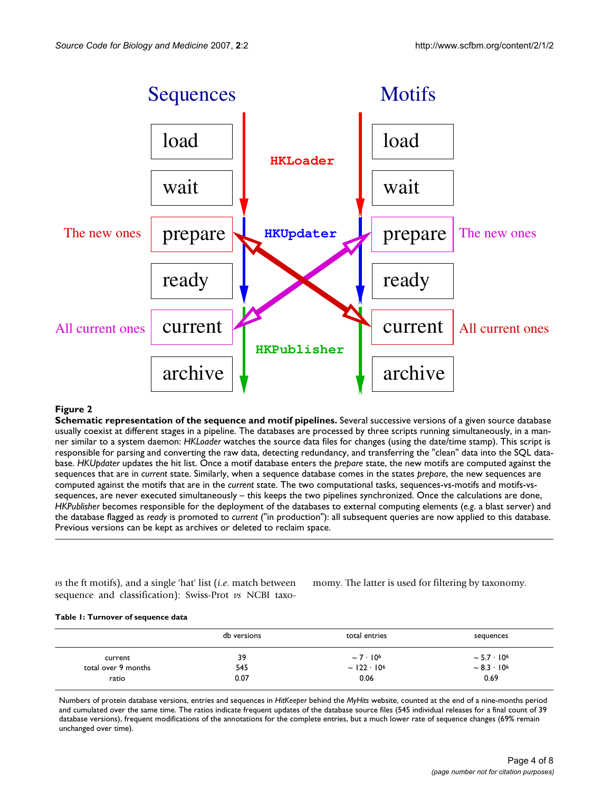

# **Figure 2**

**Schematic representation of the sequence and motif pipelines.** Several successive versions of a given source database usually coexist at different stages in a pipeline. The databases are processed by three scripts running simultaneously, in a manner similar to a system daemon: *HKLoader* watches the source data files for changes (using the date/time stamp). This script is responsible for parsing and converting the raw data, detecting redundancy, and transferring the "clean" data into the SQL database. *HKUpdater* updates the hit list. Once a motif database enters the *prepare* state, the new motifs are computed against the sequences that are in *current* state. Similarly, when a sequence database comes in the states *prepare*, the new sequences are computed against the motifs that are in the *current* state. The two computational tasks, sequences-vs-motifs and motifs-vssequences, are never executed simultaneously – this keeps the two pipelines synchronized. Once the calculations are done, *HKPublisher* becomes responsible for the deployment of the databases to external computing elements (*e.g*. a blast server) and the database flagged as *ready* is promoted to *current* ("in production"): all subsequent queries are now applied to this database. Previous versions can be kept as archives or deleted to reclaim space.

*vs* the ft motifs), and a single 'hat' list (*i.e*. match between sequence and classification): Swiss-Prot *vs* NCBI taxomomy. The latter is used for filtering by taxonomy.

#### **Table 1: Turnover of sequence data**

|                     | db versions | total entries                    | sequences                          |
|---------------------|-------------|----------------------------------|------------------------------------|
| current             | 39          | $\sim$ 7 $\cdot$ 10 <sup>6</sup> | $\sim$ 5.7 $\cdot$ 10 <sup>6</sup> |
| total over 9 months | 545         | $\sim$ 122 · 10 <sup>6</sup>     | $\sim 8.3 \cdot 10^6$              |
| ratio               | 0.07        | 0.06                             | 0.69                               |

Numbers of protein database versions, entries and sequences in *HitKeeper* behind the *MyHits* website, counted at the end of a nine-months period and cumulated over the same time. The ratios indicate frequent updates of the database source files (545 individual releases for a final count of 39 database versions), frequent modifications of the annotations for the complete entries, but a much lower rate of sequence changes (69% remain unchanged over time).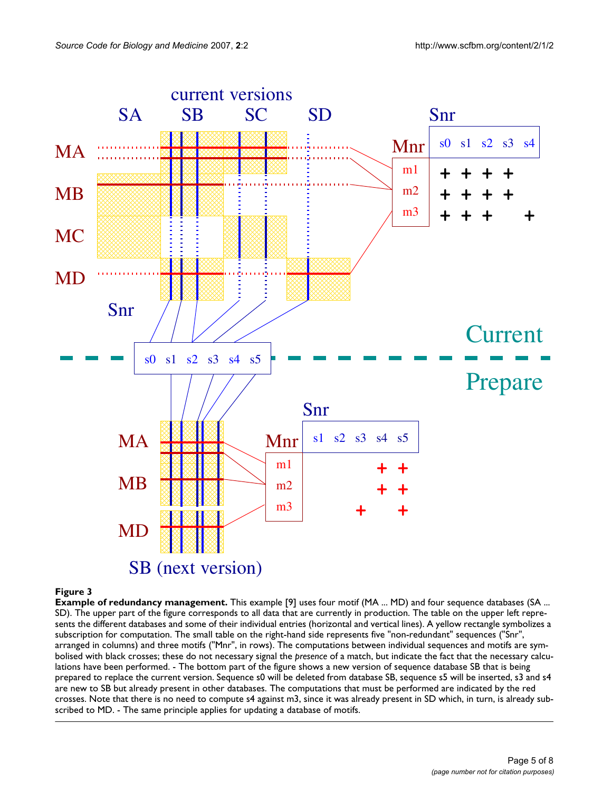

#### **Figure 3**

**Example of redundancy management.** This example [9] uses four motif (MA ... MD) and four sequence databases (SA ... SD). The upper part of the figure corresponds to all data that are currently in production. The table on the upper left represents the different databases and some of their individual entries (horizontal and vertical lines). A yellow rectangle symbolizes a subscription for computation. The small table on the right-hand side represents five "non-redundant" sequences ("Snr", arranged in columns) and three motifs ("Mnr", in rows). The computations between individual sequences and motifs are symbolised with black crosses; these do not necessary signal the *presence* of a match, but indicate the fact that the necessary calculations have been performed. - The bottom part of the figure shows a new version of sequence database SB that is being prepared to replace the current version. Sequence s0 will be deleted from database SB, sequence s5 will be inserted, s3 and s4 are new to SB but already present in other databases. The computations that must be performed are indicated by the red crosses. Note that there is no need to compute s4 against m3, since it was already present in SD which, in turn, is already subscribed to MD. - The same principle applies for updating a database of motifs.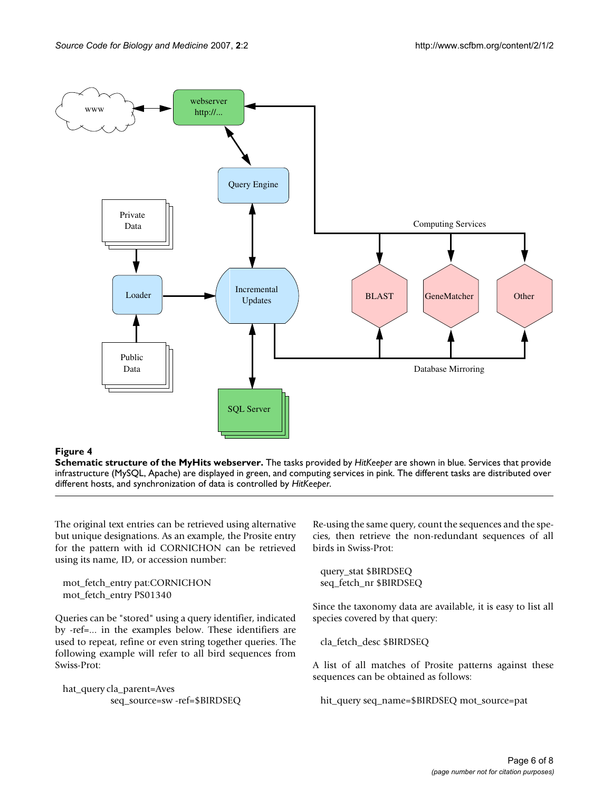

# **Figure 4**

**Schematic structure of the MyHits webserver.** The tasks provided by *HitKeeper* are shown in blue. Services that provide infrastructure (MySQL, Apache) are displayed in green, and computing services in pink. The different tasks are distributed over different hosts, and synchronization of data is controlled by *HitKeeper*.

The original text entries can be retrieved using alternative but unique designations. As an example, the Prosite entry for the pattern with id CORNICHON can be retrieved using its name, ID, or accession number:

mot\_fetch\_entry pat:CORNICHON mot\_fetch\_entry PS01340

Queries can be "stored" using a query identifier, indicated by -ref=... in the examples below. These identifiers are used to repeat, refine or even string together queries. The following example will refer to all bird sequences from Swiss-Prot:

hat\_query cla\_parent=Aves seq\_source=sw -ref=\$BIRDSEQ Re-using the same query, count the sequences and the species, then retrieve the non-redundant sequences of all birds in Swiss-Prot:

query\_stat \$BIRDSEQ seq\_fetch\_nr \$BIRDSEQ

Since the taxonomy data are available, it is easy to list all species covered by that query:

cla\_fetch\_desc \$BIRDSEQ

A list of all matches of Prosite patterns against these sequences can be obtained as follows:

hit\_query seq\_name=\$BIRDSEQ mot\_source=pat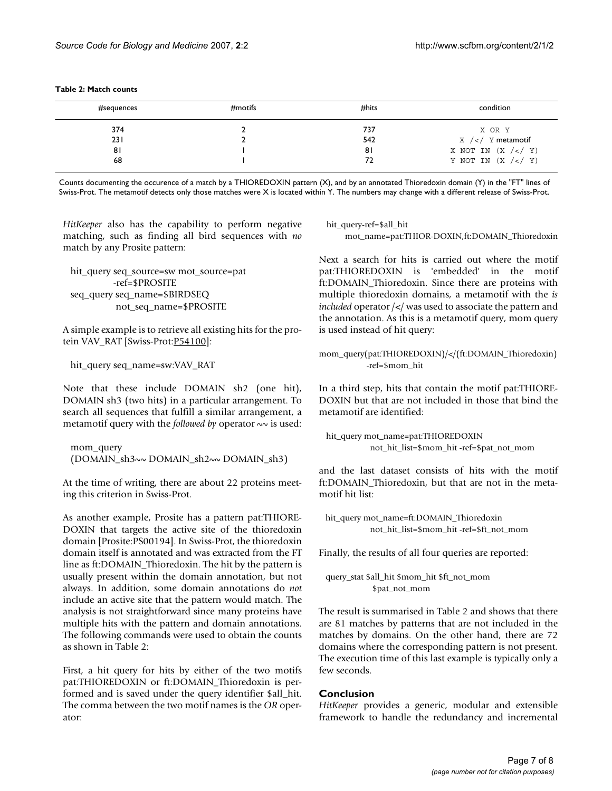| #sequences | #motifs | #hits | condition               |
|------------|---------|-------|-------------------------|
| 374        |         | 737   | X OR Y                  |
| 231        |         | 542   | $X \ / \lt$ Y metamotif |
| 81         |         | 81    | X NOT IN $(X / < / Y)$  |
| 68         |         | 72    | Y NOT IN $(X / < / Y)$  |

**Table 2: Match counts**

Counts documenting the occurence of a match by a THIOREDOXIN pattern (X), and by an annotated Thioredoxin domain (Y) in the "FT" lines of Swiss-Prot. The metamotif detects only those matches were X is located within Y. The numbers may change with a different release of Swiss-Prot.

*HitKeeper* also has the capability to perform negative matching, such as finding all bird sequences with *no* match by any Prosite pattern:

```
hit_query seq_source=sw mot_source=pat 
         -ref=$PROSITE
seq_query seq_name=$BIRDSEQ 
         not_seq_name=$PROSITE
```
A simple example is to retrieve all existing hits for the protein VAV\_RAT [Swiss-Prot:[P54100](http://www.ebi.ac.uk/cgi-bin/dbfetch?db=swall&id=P54100)]:

hit\_query seq\_name=sw:VAV\_RAT

Note that these include DOMAIN sh2 (one hit), DOMAIN sh3 (two hits) in a particular arrangement. To search all sequences that fulfill a similar arrangement, a metamotif query with the *followed by* operator *~~* is used:

```
mom_query 
(DOMAIN_sh3~~ DOMAIN_sh2~~ DOMAIN_sh3)
```
At the time of writing, there are about 22 proteins meeting this criterion in Swiss-Prot.

As another example, Prosite has a pattern pat:THIORE-DOXIN that targets the active site of the thioredoxin domain [Prosite:PS00194]. In Swiss-Prot, the thioredoxin domain itself is annotated and was extracted from the FT line as ft:DOMAIN\_Thioredoxin. The hit by the pattern is usually present within the domain annotation, but not always. In addition, some domain annotations do *not* include an active site that the pattern would match. The analysis is not straightforward since many proteins have multiple hits with the pattern and domain annotations. The following commands were used to obtain the counts as shown in Table 2:

First, a hit query for hits by either of the two motifs pat:THIOREDOXIN or ft:DOMAIN\_Thioredoxin is performed and is saved under the query identifier \$all\_hit. The comma between the two motif names is the *OR* operator:

hit\_query-ref=\$all\_hit

mot\_name=pat:THIOR-DOXIN,ft:DOMAIN\_Thioredoxin

Next a search for hits is carried out where the motif pat:THIOREDOXIN is 'embedded' in the motif ft:DOMAIN\_Thioredoxin. Since there are proteins with multiple thioredoxin domains, a metamotif with the *is included* operator /</ was used to associate the pattern and the annotation. As this is a metamotif query, mom query is used instead of hit query:

# mom\_query(pat:THIOREDOXIN)/</(ft:DOMAIN\_Thioredoxin) -ref=\$mom\_hit

In a third step, hits that contain the motif pat:THIORE-DOXIN but that are not included in those that bind the metamotif are identified:

hit\_query mot\_name=pat:THIOREDOXIN not hit list=\$mom\_hit -ref=\$pat\_not\_mom

and the last dataset consists of hits with the motif ft:DOMAIN Thioredoxin, but that are not in the metamotif hit list:

```
hit_query mot_name=ft:DOMAIN_Thioredoxin 
          not_hit_list=$mom_hit -ref=$ft_not_mom
```
Finally, the results of all four queries are reported:

query\_stat \$all\_hit \$mom\_hit \$ft\_not\_mom \$pat\_not\_mom

The result is summarised in Table 2 and shows that there are 81 matches by patterns that are not included in the matches by domains. On the other hand, there are 72 domains where the corresponding pattern is not present. The execution time of this last example is typically only a few seconds.

# **Conclusion**

*HitKeeper* provides a generic, modular and extensible framework to handle the redundancy and incremental